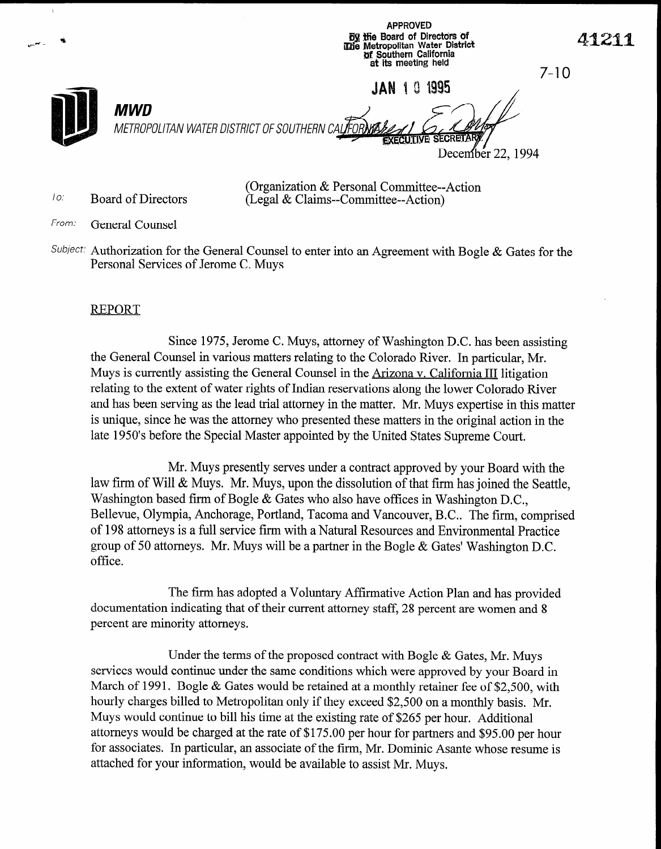APPROVED '+-,+- ri l&j Se Board of Directdrs of iGb'e Metropolitan Water District 41211 !\$S! Southern California at its meeting held 7-10 JAN 101995 **MWD** METROPOLITAN WATER DISTRICT OF SOUTHERN CAL**I**FOF December 22, 1994

TO. Board of Directors

(Organization & Personal Committee--Action (Legal & Claims--Committee--Action)

- From: General Counsel
- Subject: Authorization for the General Counsel to enter into an Agreement with Bogle  $\&$  Gates for the Personal Services of Jerome C. Muys

### REPORT

Since 1975, Jerome C. Muys, attorney of Washington D.C. has been assisting the General Counsel in various matters relating to the Colorado River. In particular, Mr. Muys is currently assisting the General Counsel in the Arizona v. California III litigation relating to the extent of water rights of Indian reservations along the lower Colorado River and has been serving as the lead trial attorney in the matter. Mr. Muys expertise in this matter is unique, since he was the attorney who presented these matters in the original action in the late 1950's before the Special Master appointed by the United States Supreme Court.

Mr. Muys presently serves under a contract approved by your Board with the law firm of Will & Muys. Mr. Muys, upon the dissolution of that firm has joined the Seattle, Washington based firm of Bogle & Gates who also have offices in Washington D.C.,  $B_{\text{min}}$  olympical cases in a broken and Vancouver,  $B_{\text{min}}$  and  $B_{\text{min}}$  and  $B_{\text{min}}$  and  $C_{\text{min}}$  and  $C_{\text{min}}$  and  $D_{\text{min}}$  and  $D_{\text{min}}$  and  $D_{\text{min}}$  and  $D_{\text{min}}$  and  $D_{\text{min}}$  and  $D_{\text{min}}$  and  $D_{\text{min}}$  and  $\sum_{i=1}^{\infty}$   $\sum_{i=1}^{\infty}$   $\sum_{i=1}^{\infty}$  functional  $\sum_{i=1}^{\infty}$  and  $\sum_{i=1}^{\infty}$  and  $\sum_{i=1}^{\infty}$ of 198 attorneys is a full service firm with a Natural Resources and Environmental Practice group of 50 attorneys. Mr. Muys will be a partner in the Bogle  $\&$  Gates' Washington D.C. office.

 $T$  firm has adopted a Voluntary Affirmation Plan and has provided a voluntary  $\frac{1}{2}$ documentation in the that has adopted a volumary Althmative Action Flan and has provide documentation indicating that of their current attorney staff, 28 percent are women and 8 percent are minority attorneys.

Under the terms of the proposed contract with Bogle & Gates, Mr. Muys  $\epsilon$  conder the terms of the proposed contract with Bogie  $\alpha$  Gates, Mr. Muys services would continue under the same conditions which were approved by your Board in March of 1991. Bogle & Gates would be retained at a monthly retainer fee of \$2,500, with hourly charges billed to Metropolitan only if they exceed \$2,500 on a monthly basis. Mr. Muys would continue to bill his time at the existing rate of \$265 per hour. Additional attorneys would be charged at the rate of \$175.00 per hour for partners and \$95.00 per hour for associates. In particular, an associate of the firm, Mr. Dominic Asante whose resume is attached for your information, would be available to assist Mr. Muys.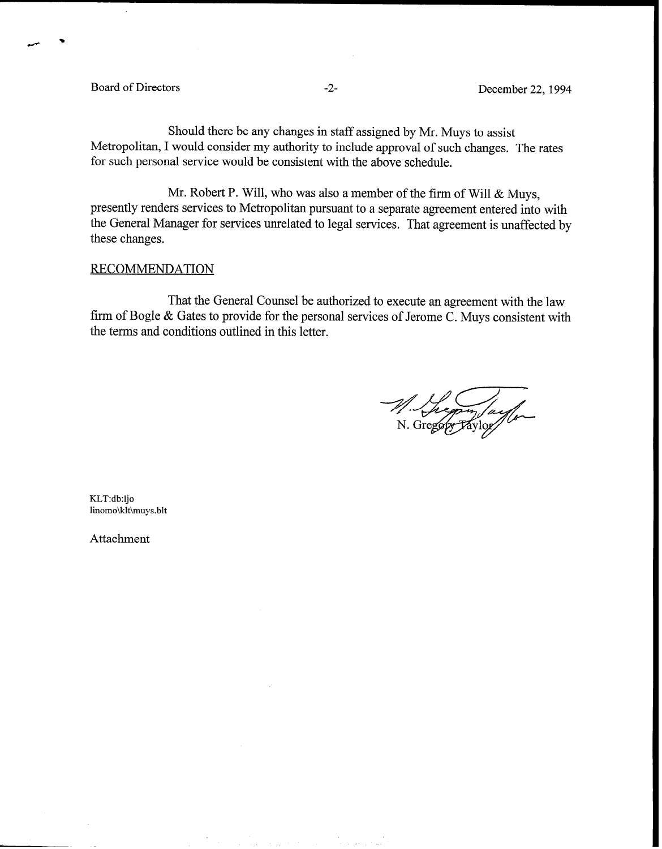Board of Directors -2- December 22, 1994

Should there be any changes in staff assigned by Mr. Muys to assist Metropolitan, I would consider my authority to include approval of such changes. The rates for such personal service would be consistent with the above schedule.

Mr. Robert P. Will, who was also a member of the firm of Will & Muys, presently renders services to Metropolitan pursuant to a separate agreement entered into with the General Manager for services unrelated to legal services. That agreement is unaffected by these changes.

### RECOMMENDATION

That the General Counsel be authorized to execute an agreement with the law firm of Bogle & Gates to provide for the personal services of Jerome C. Muys consistent with the terms and conditions outlined in this letter.

KLT:db:ljo linomo\klt\muys.blt

Attachment